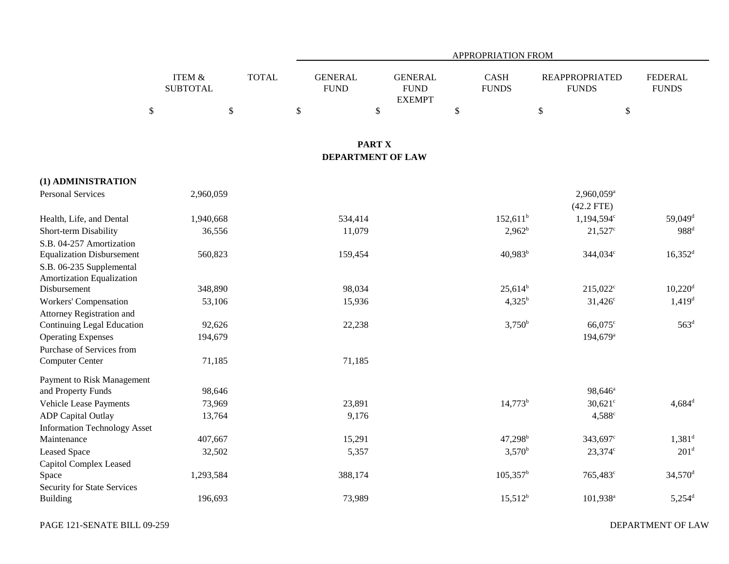|                                                                |                                              |              | APPROPRIATION FROM                  |                                                      |                                             |                                                                  |                                |  |  |  |
|----------------------------------------------------------------|----------------------------------------------|--------------|-------------------------------------|------------------------------------------------------|---------------------------------------------|------------------------------------------------------------------|--------------------------------|--|--|--|
| $\$\,$                                                         | <b>ITEM &amp;</b><br><b>SUBTOTAL</b><br>$\$$ | <b>TOTAL</b> | <b>GENERAL</b><br><b>FUND</b><br>\$ | <b>GENERAL</b><br><b>FUND</b><br><b>EXEMPT</b><br>\$ | <b>CASH</b><br><b>FUNDS</b><br>$\mathbb{S}$ | <b>REAPPROPRIATED</b><br><b>FUNDS</b><br>$\$\,$<br>$\mathcal{S}$ | <b>FEDERAL</b><br><b>FUNDS</b> |  |  |  |
|                                                                |                                              |              |                                     | <b>PART X</b><br><b>DEPARTMENT OF LAW</b>            |                                             |                                                                  |                                |  |  |  |
|                                                                |                                              |              |                                     |                                                      |                                             |                                                                  |                                |  |  |  |
| (1) ADMINISTRATION<br><b>Personal Services</b>                 | 2,960,059                                    |              |                                     |                                                      |                                             | $2,960,059$ <sup>a</sup><br>$(42.2$ FTE)                         |                                |  |  |  |
| Health, Life, and Dental                                       | 1,940,668                                    |              | 534,414                             |                                                      | $152,611^{\rm b}$                           | 1,194,594°                                                       | 59,049 <sup>d</sup>            |  |  |  |
| Short-term Disability                                          | 36,556                                       |              | 11,079                              |                                                      | $2,962^b$                                   | $21,527$ °                                                       | $988^{\rm d}$                  |  |  |  |
| S.B. 04-257 Amortization                                       |                                              |              |                                     |                                                      |                                             |                                                                  |                                |  |  |  |
| <b>Equalization Disbursement</b>                               | 560,823                                      |              | 159,454                             |                                                      | 40,983 <sup>b</sup>                         | 344,034 <sup>c</sup>                                             | $16,352$ <sup>d</sup>          |  |  |  |
| S.B. 06-235 Supplemental                                       |                                              |              |                                     |                                                      |                                             |                                                                  |                                |  |  |  |
| Amortization Equalization                                      |                                              |              |                                     |                                                      |                                             |                                                                  |                                |  |  |  |
| Disbursement                                                   | 348,890                                      |              | 98,034                              |                                                      | $25,614^b$                                  | $215,022^c$                                                      | $10,220$ <sup>d</sup>          |  |  |  |
| <b>Workers' Compensation</b>                                   | 53,106                                       |              | 15,936                              |                                                      | $4,325^b$                                   | $31,426^c$                                                       | $1,419$ <sup>d</sup>           |  |  |  |
| Attorney Registration and<br><b>Continuing Legal Education</b> | 92,626                                       |              | 22,238                              |                                                      | $3,750^b$                                   | 66,075 <sup>c</sup>                                              | 563 <sup>d</sup>               |  |  |  |
| <b>Operating Expenses</b>                                      | 194,679                                      |              |                                     |                                                      |                                             | 194,679 <sup>a</sup>                                             |                                |  |  |  |
| Purchase of Services from                                      |                                              |              |                                     |                                                      |                                             |                                                                  |                                |  |  |  |
| Computer Center                                                | 71,185                                       |              | 71,185                              |                                                      |                                             |                                                                  |                                |  |  |  |
|                                                                |                                              |              |                                     |                                                      |                                             |                                                                  |                                |  |  |  |
| Payment to Risk Management<br>and Property Funds               | 98,646                                       |              |                                     |                                                      |                                             | 98,646 <sup>a</sup>                                              |                                |  |  |  |
| Vehicle Lease Payments                                         | 73,969                                       |              | 23,891                              |                                                      | $14,773^b$                                  | $30,621$ °                                                       | $4,684^{\rm d}$                |  |  |  |
| <b>ADP</b> Capital Outlay                                      | 13,764                                       |              | 9,176                               |                                                      |                                             | $4,588^{\circ}$                                                  |                                |  |  |  |
| <b>Information Technology Asset</b>                            |                                              |              |                                     |                                                      |                                             |                                                                  |                                |  |  |  |
| Maintenance                                                    | 407,667                                      |              | 15,291                              |                                                      | $47,298^{\rm b}$                            | 343,697 <sup>c</sup>                                             | $1,381^d$                      |  |  |  |
| Leased Space                                                   | 32,502                                       |              | 5,357                               |                                                      | $3,570^b$                                   | $23,374^{\circ}$                                                 | 201 <sup>d</sup>               |  |  |  |
| Capitol Complex Leased                                         |                                              |              |                                     |                                                      |                                             |                                                                  |                                |  |  |  |
| Space                                                          | 1,293,584                                    |              | 388,174                             |                                                      | $105,357^{\rm b}$                           | 765,483 <sup>c</sup>                                             | $34,570$ <sup>d</sup>          |  |  |  |
| Security for State Services                                    |                                              |              |                                     |                                                      |                                             |                                                                  |                                |  |  |  |
| <b>Building</b>                                                | 196,693                                      |              | 73,989                              |                                                      | $15,512^b$                                  | 101,938 <sup>a</sup>                                             | $5,254$ <sup>d</sup>           |  |  |  |

DEPARTMENT OF LAW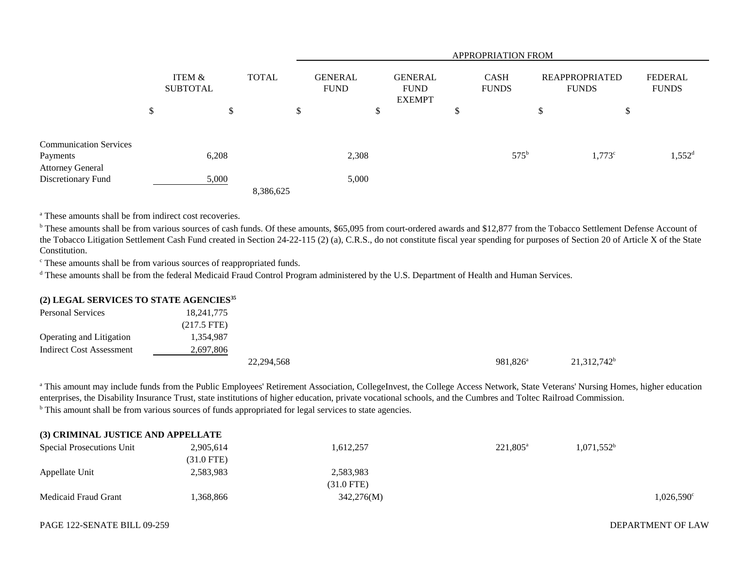|                               |                           |              |           |                               | <b>APPROPRIATION FROM</b> |                                                |  |                             |               |                                       |           |                                |
|-------------------------------|---------------------------|--------------|-----------|-------------------------------|---------------------------|------------------------------------------------|--|-----------------------------|---------------|---------------------------------------|-----------|--------------------------------|
|                               | ITEM &<br><b>SUBTOTAL</b> | <b>TOTAL</b> |           | <b>GENERAL</b><br><b>FUND</b> |                           | <b>GENERAL</b><br><b>FUND</b><br><b>EXEMPT</b> |  | <b>CASH</b><br><b>FUNDS</b> |               | <b>REAPPROPRIATED</b><br><b>FUNDS</b> |           | <b>FEDERAL</b><br><b>FUNDS</b> |
|                               | \$                        | \$           |           | \$                            |                           | \$                                             |  | \$                          |               | \$                                    | ¢<br>D    |                                |
| <b>Communication Services</b> |                           |              |           |                               |                           |                                                |  |                             |               |                                       |           |                                |
| Payments                      | 6,208                     |              |           |                               | 2,308                     |                                                |  |                             | $575^{\rm b}$ |                                       | $1,773$ c | $1,552^d$                      |
| <b>Attorney General</b>       |                           |              |           |                               |                           |                                                |  |                             |               |                                       |           |                                |
| Discretionary Fund            | 5,000                     |              |           |                               | 5,000                     |                                                |  |                             |               |                                       |           |                                |
|                               |                           |              | 8,386,625 |                               |                           |                                                |  |                             |               |                                       |           |                                |

<sup>a</sup> These amounts shall be from indirect cost recoveries.

<sup>b</sup> These amounts shall be from various sources of cash funds. Of these amounts, \$65,095 from court-ordered awards and \$12,877 from the Tobacco Settlement Defense Account of the Tobacco Litigation Settlement Cash Fund created in Section 24-22-115 (2) (a), C.R.S., do not constitute fiscal year spending for purposes of Section 20 of Article X of the State Constitution.

c These amounts shall be from various sources of reappropriated funds.

<sup>d</sup> These amounts shall be from the federal Medicaid Fraud Control Program administered by the U.S. Department of Health and Human Services.

## **(2) LEGAL SERVICES TO STATE AGENCIES<sup>35</sup>**

| <b>Personal Services</b>        | 18,241,775    |            |  |                   |                |
|---------------------------------|---------------|------------|--|-------------------|----------------|
|                                 | $(217.5$ FTE) |            |  |                   |                |
| Operating and Litigation        | 1,354,987     |            |  |                   |                |
| <b>Indirect Cost Assessment</b> | 2,697,806     |            |  |                   |                |
|                                 |               | 22,294,568 |  | $981,826^{\circ}$ | $21,312,742^b$ |

<sup>a</sup> This amount may include funds from the Public Employees' Retirement Association, CollegeInvest, the College Access Network, State Veterans' Nursing Homes, higher education enterprises, the Disability Insurance Trust, state institutions of higher education, private vocational schools, and the Cumbres and Toltec Railroad Commission. <sup>b</sup> This amount shall be from various sources of funds appropriated for legal services to state agencies.

| (3) CRIMINAL JUSTICE AND APPELLATE |              |              |                   |                        |                     |
|------------------------------------|--------------|--------------|-------------------|------------------------|---------------------|
| Special Prosecutions Unit          | 2,905,614    | 1,612,257    | $221,805^{\circ}$ | 1.071.552 <sup>b</sup> |                     |
|                                    | $(31.0$ FTE) |              |                   |                        |                     |
| Appellate Unit                     | 2,583,983    | 2,583,983    |                   |                        |                     |
|                                    |              | $(31.0$ FTE) |                   |                        |                     |
| Medicaid Fraud Grant               | .368,866     | 342,276(M)   |                   |                        | $1,026,590^{\circ}$ |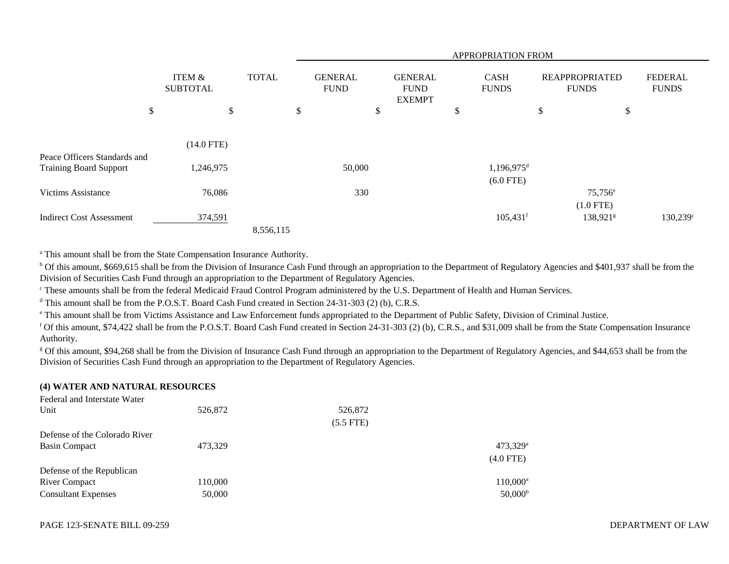|                                                               |                           |              |                               |        |                                                |                           | APPROPRIATION FROM                      |                                       |                                |
|---------------------------------------------------------------|---------------------------|--------------|-------------------------------|--------|------------------------------------------------|---------------------------|-----------------------------------------|---------------------------------------|--------------------------------|
|                                                               | ITEM &<br><b>SUBTOTAL</b> | <b>TOTAL</b> | <b>GENERAL</b><br><b>FUND</b> |        | <b>GENERAL</b><br><b>FUND</b><br><b>EXEMPT</b> |                           | <b>CASH</b><br><b>FUNDS</b>             | <b>REAPPROPRIATED</b><br><b>FUNDS</b> | <b>FEDERAL</b><br><b>FUNDS</b> |
| \$                                                            | \$                        |              | \$                            | \$     |                                                | $\boldsymbol{\mathsf{S}}$ |                                         | \$                                    | \$                             |
|                                                               | $(14.0$ FTE)              |              |                               |        |                                                |                           |                                         |                                       |                                |
| Peace Officers Standards and<br><b>Training Board Support</b> | 1,246,975                 |              |                               | 50,000 |                                                |                           | $1,196,975$ <sup>d</sup><br>$(6.0$ FTE) |                                       |                                |
| <b>Victims Assistance</b>                                     | 76,086                    |              |                               | 330    |                                                |                           |                                         | $75,756^{\circ}$<br>$(1.0$ FTE)       |                                |
| <b>Indirect Cost Assessment</b>                               | 374,591                   | 8,556,115    |                               |        |                                                |                           | $105,431$ <sup>f</sup>                  | $138,921$ <sup>g</sup>                | 130,239 <sup>c</sup>           |

<sup>a</sup> This amount shall be from the State Compensation Insurance Authority.

<sup>b</sup> Of this amount, \$669,615 shall be from the Division of Insurance Cash Fund through an appropriation to the Department of Regulatory Agencies and \$401,937 shall be from the Division of Securities Cash Fund through an appropriation to the Department of Regulatory Agencies.

<sup>c</sup> These amounts shall be from the federal Medicaid Fraud Control Program administered by the U.S. Department of Health and Human Services.

<sup>d</sup> This amount shall be from the P.O.S.T. Board Cash Fund created in Section 24-31-303 (2) (b), C.R.S.

e This amount shall be from Victims Assistance and Law Enforcement funds appropriated to the Department of Public Safety, Division of Criminal Justice.

f Of this amount, \$74,422 shall be from the P.O.S.T. Board Cash Fund created in Section 24-31-303 (2) (b), C.R.S., and \$31,009 shall be from the State Compensation Insurance Authority.

<sup>g</sup> Of this amount, \$94,268 shall be from the Division of Insurance Cash Fund through an appropriation to the Department of Regulatory Agencies, and \$44,653 shall be from the Division of Securities Cash Fund through an appropriation to the Department of Regulatory Agencies.

## **(4) WATER AND NATURAL RESOURCES**

| Federal and Interstate Water  |         |             |                        |
|-------------------------------|---------|-------------|------------------------|
| Unit                          | 526,872 | 526,872     |                        |
|                               |         | $(5.5$ FTE) |                        |
| Defense of the Colorado River |         |             |                        |
| Basin Compact                 | 473,329 |             | $473,329$ <sup>a</sup> |
|                               |         |             | $(4.0$ FTE)            |
| Defense of the Republican     |         |             |                        |
| <b>River Compact</b>          | 110,000 |             | $110,000^{\rm a}$      |
| <b>Consultant Expenses</b>    | 50,000  |             | $50,000^{\rm b}$       |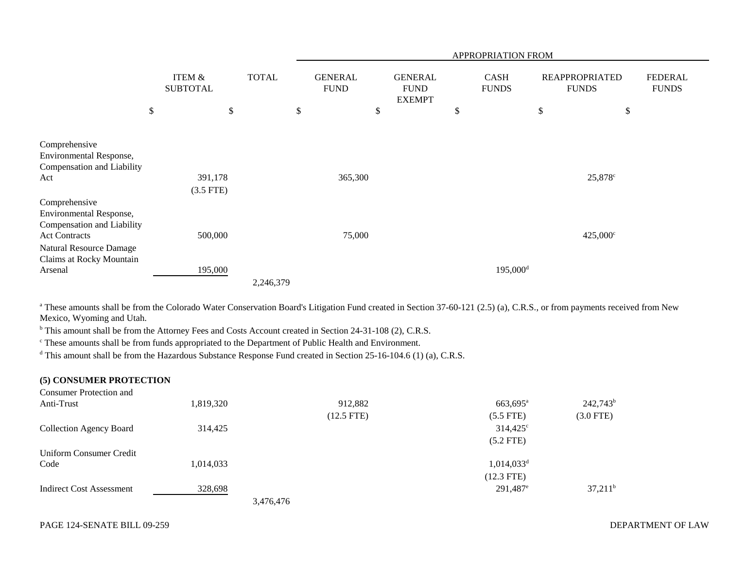|                                                                                                                                                       |                                      |              |                               |    |                                                |    | APPROPRIATION FROM          |                                       |                     |                                |  |
|-------------------------------------------------------------------------------------------------------------------------------------------------------|--------------------------------------|--------------|-------------------------------|----|------------------------------------------------|----|-----------------------------|---------------------------------------|---------------------|--------------------------------|--|
|                                                                                                                                                       | <b>ITEM &amp;</b><br><b>SUBTOTAL</b> | <b>TOTAL</b> | <b>GENERAL</b><br><b>FUND</b> |    | <b>GENERAL</b><br><b>FUND</b><br><b>EXEMPT</b> |    | <b>CASH</b><br><b>FUNDS</b> | <b>REAPPROPRIATED</b><br><b>FUNDS</b> |                     | <b>FEDERAL</b><br><b>FUNDS</b> |  |
|                                                                                                                                                       | \$<br>\$                             |              | \$                            | \$ |                                                | \$ |                             | \$                                    | \$                  |                                |  |
| Comprehensive<br>Environmental Response,<br>Compensation and Liability<br>Act                                                                         | 391,178<br>$(3.5$ FTE)               |              | 365,300                       |    |                                                |    |                             |                                       | 25,878 <sup>c</sup> |                                |  |
| Comprehensive<br>Environmental Response,<br>Compensation and Liability<br><b>Act Contracts</b><br>Natural Resource Damage<br>Claims at Rocky Mountain | 500,000                              |              | 75,000                        |    |                                                |    |                             |                                       | $425,000^{\circ}$   |                                |  |
| Arsenal                                                                                                                                               | 195,000                              | 2,246,379    |                               |    |                                                |    | $195,000$ <sup>d</sup>      |                                       |                     |                                |  |

<sup>a</sup> These amounts shall be from the Colorado Water Conservation Board's Litigation Fund created in Section 37-60-121 (2.5) (a), C.R.S., or from payments received from New Mexico, Wyoming and Utah.

<sup>b</sup> This amount shall be from the Attorney Fees and Costs Account created in Section 24-31-108 (2), C.R.S.

c These amounts shall be from funds appropriated to the Department of Public Health and Environment.

<sup>d</sup> This amount shall be from the Hazardous Substance Response Fund created in Section 25-16-104.6 (1) (a), C.R.S.

| (5) CONSUMER PROTECTION         |           |              |                          |             |
|---------------------------------|-----------|--------------|--------------------------|-------------|
| <b>Consumer Protection and</b>  |           |              |                          |             |
| Anti-Trust                      | 1,819,320 | 912,882      | $663,695$ <sup>a</sup>   | $242,743^b$ |
|                                 |           | $(12.5$ FTE) | $(5.5$ FTE)              | $(3.0$ FTE) |
| <b>Collection Agency Board</b>  | 314,425   |              | $314,425^{\circ}$        |             |
|                                 |           |              | $(5.2$ FTE)              |             |
| Uniform Consumer Credit         |           |              |                          |             |
| Code                            | 1,014,033 |              | $1,014,033$ <sup>d</sup> |             |
|                                 |           |              | $(12.3$ FTE)             |             |
| <b>Indirect Cost Assessment</b> | 328,698   |              | $291,487$ <sup>e</sup>   | $37,211^b$  |
|                                 |           | 3,476,476    |                          |             |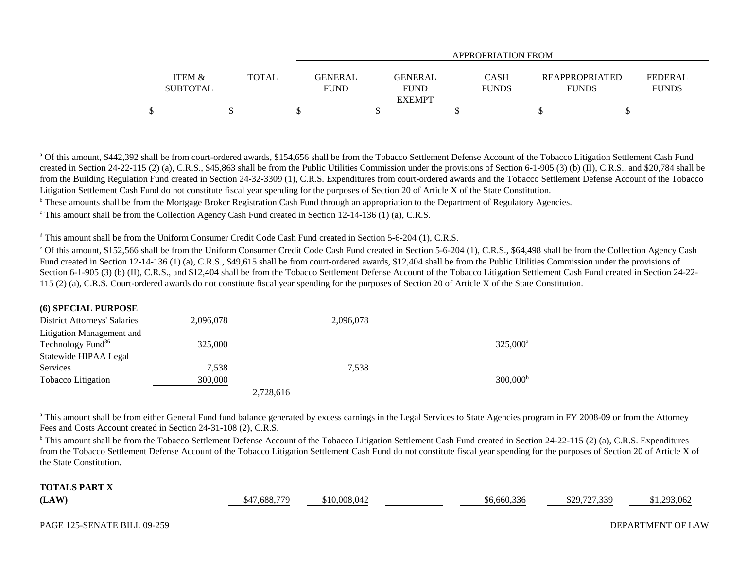|                                      |       | APPROPRIATION FROM            |                                                |                             |                                       |                                |  |  |
|--------------------------------------|-------|-------------------------------|------------------------------------------------|-----------------------------|---------------------------------------|--------------------------------|--|--|
| <b>ITEM &amp;</b><br><b>SUBTOTAL</b> | TOTAL | <b>GENERAL</b><br><b>FUND</b> | <b>GENERAL</b><br><b>FUND</b><br><b>EXEMPT</b> | <b>CASH</b><br><b>FUNDS</b> | <b>REAPPROPRIATED</b><br><b>FUNDS</b> | <b>FEDERAL</b><br><b>FUNDS</b> |  |  |
| \$                                   |       |                               |                                                |                             |                                       |                                |  |  |

<sup>a</sup> Of this amount, \$442,392 shall be from court-ordered awards, \$154,656 shall be from the Tobacco Settlement Defense Account of the Tobacco Litigation Settlement Cash Fund created in Section 24-22-115 (2) (a), C.R.S., \$45,863 shall be from the Public Utilities Commission under the provisions of Section 6-1-905 (3) (b) (II), C.R.S., and \$20,784 shall be from the Building Regulation Fund created in Section 24-32-3309 (1), C.R.S. Expenditures from court-ordered awards and the Tobacco Settlement Defense Account of the Tobacco Litigation Settlement Cash Fund do not constitute fiscal year spending for the purposes of Section 20 of Article X of the State Constitution.

<sup>b</sup> These amounts shall be from the Mortgage Broker Registration Cash Fund through an appropriation to the Department of Regulatory Agencies.

 $\textdegree$  This amount shall be from the Collection Agency Cash Fund created in Section 12-14-136 (1) (a), C.R.S.

d This amount shall be from the Uniform Consumer Credit Code Cash Fund created in Section 5-6-204 (1), C.R.S.

<sup>e</sup> Of this amount, \$152,566 shall be from the Uniform Consumer Credit Code Cash Fund created in Section 5-6-204 (1), C.R.S., \$64,498 shall be from the Collection Agency Cash Fund created in Section 12-14-136 (1) (a), C.R.S., \$49,615 shall be from court-ordered awards, \$12,404 shall be from the Public Utilities Commission under the provisions of Section 6-1-905 (3) (b) (II), C.R.S., and \$12,404 shall be from the Tobacco Settlement Defense Account of the Tobacco Litigation Settlement Cash Fund created in Section 24-22-115 (2) (a), C.R.S. Court-ordered awards do not constitute fiscal year spending for the purposes of Section 20 of Article X of the State Constitution.

| (6) SPECIAL PURPOSE                 |           |           |           |                      |
|-------------------------------------|-----------|-----------|-----------|----------------------|
| <b>District Attorneys' Salaries</b> | 2,096,078 |           | 2,096,078 |                      |
| Litigation Management and           |           |           |           |                      |
| Technology Fund <sup>36</sup>       | 325,000   |           |           | 325.000 <sup>a</sup> |
| Statewide HIPAA Legal               |           |           |           |                      |
| Services                            | 7,538     |           | 7.538     |                      |
| <b>Tobacco</b> Litigation           | 300,000   |           |           | 300,000 <sup>b</sup> |
|                                     |           | 2,728,616 |           |                      |

<sup>a</sup> This amount shall be from either General Fund fund balance generated by excess earnings in the Legal Services to State Agencies program in FY 2008-09 or from the Attorney Fees and Costs Account created in Section 24-31-108 (2), C.R.S.

<sup>b</sup> This amount shall be from the Tobacco Settlement Defense Account of the Tobacco Litigation Settlement Cash Fund created in Section 24-22-115 (2) (a), C.R.S. Expenditures from the Tobacco Settlement Defense Account of the Tobacco Litigation Settlement Cash Fund do not constitute fiscal year spending for the purposes of Section 20 of Article X of the State Constitution.

| $\blacksquare$ ( $\blacksquare$ ) $\blacksquare$ ) $\blacksquare$<br>TOT |                            |        |                                |                         |         |
|--------------------------------------------------------------------------|----------------------------|--------|--------------------------------|-------------------------|---------|
| (LAW)                                                                    | .688.779<br>$\overline{A}$ | 008.04 | $\sim$<br>$\sim$<br>-0,000,330 | ,727,339<br>, u<br>44.7 | 293,062 |